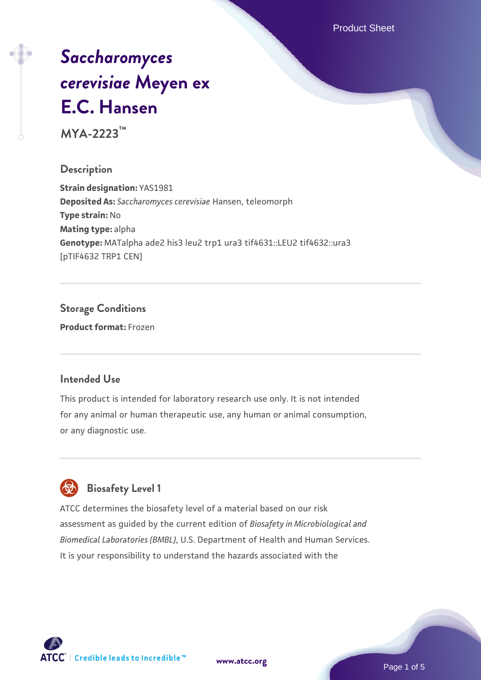Product Sheet

# *[Saccharomyces](https://www.atcc.org/products/mya-2223) [cerevisiae](https://www.atcc.org/products/mya-2223)* **[Meyen ex](https://www.atcc.org/products/mya-2223) [E.C. Hansen](https://www.atcc.org/products/mya-2223)**

**MYA-2223™**

### **Description**

**Strain designation:** YAS1981 **Deposited As:** *Saccharomyces cerevisiae* Hansen, teleomorph **Type strain:** No **Mating type:** alpha **Genotype:** MATalpha ade2 his3 leu2 trp1 ura3 tif4631::LEU2 tif4632::ura3 [pTIF4632 TRP1 CEN]

### **Storage Conditions Product format:** Frozen

### **Intended Use**

This product is intended for laboratory research use only. It is not intended for any animal or human therapeutic use, any human or animal consumption, or any diagnostic use.



### **Biosafety Level 1**

ATCC determines the biosafety level of a material based on our risk assessment as guided by the current edition of *Biosafety in Microbiological and Biomedical Laboratories (BMBL)*, U.S. Department of Health and Human Services. It is your responsibility to understand the hazards associated with the

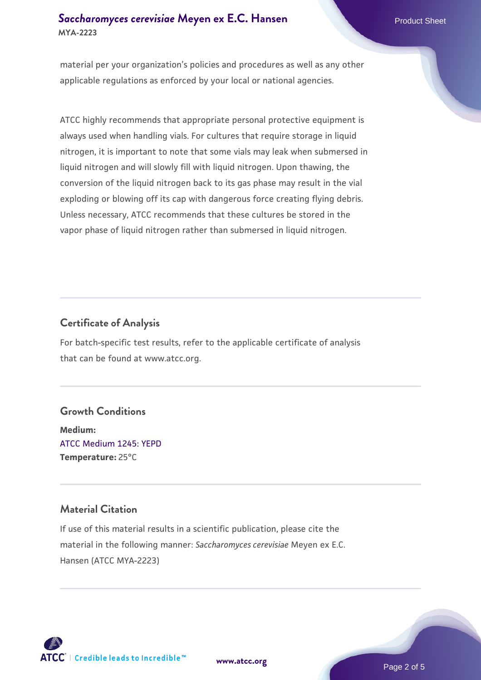### **[Saccharomyces cerevisiae](https://www.atcc.org/products/mya-2223)** [Meyen ex E.C. Hansen](https://www.atcc.org/products/mya-2223) **MYA-2223**

material per your organization's policies and procedures as well as any other applicable regulations as enforced by your local or national agencies.

ATCC highly recommends that appropriate personal protective equipment is always used when handling vials. For cultures that require storage in liquid nitrogen, it is important to note that some vials may leak when submersed in liquid nitrogen and will slowly fill with liquid nitrogen. Upon thawing, the conversion of the liquid nitrogen back to its gas phase may result in the vial exploding or blowing off its cap with dangerous force creating flying debris. Unless necessary, ATCC recommends that these cultures be stored in the vapor phase of liquid nitrogen rather than submersed in liquid nitrogen.

### **Certificate of Analysis**

For batch-specific test results, refer to the applicable certificate of analysis that can be found at www.atcc.org.

### **Growth Conditions**

**Medium:**  [ATCC Medium 1245: YEPD](https://www.atcc.org/-/media/product-assets/documents/microbial-media-formulations/1/2/4/5/atcc-medium-1245.pdf?rev=705ca55d1b6f490a808a965d5c072196) **Temperature:** 25°C

### **Material Citation**

If use of this material results in a scientific publication, please cite the material in the following manner: *Saccharomyces cerevisiae* Meyen ex E.C. Hansen (ATCC MYA-2223)



**[www.atcc.org](http://www.atcc.org)**

Page 2 of 5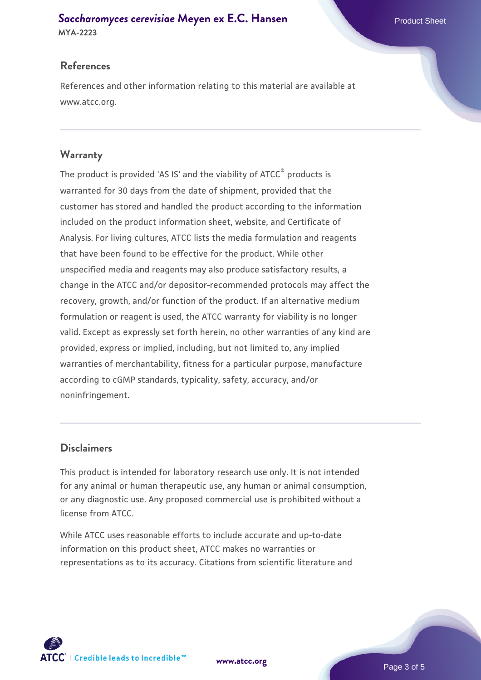## **[Saccharomyces cerevisiae](https://www.atcc.org/products/mya-2223)** [Meyen ex E.C. Hansen](https://www.atcc.org/products/mya-2223)

**MYA-2223**

### **References**

References and other information relating to this material are available at www.atcc.org.

### **Warranty**

The product is provided 'AS IS' and the viability of ATCC® products is warranted for 30 days from the date of shipment, provided that the customer has stored and handled the product according to the information included on the product information sheet, website, and Certificate of Analysis. For living cultures, ATCC lists the media formulation and reagents that have been found to be effective for the product. While other unspecified media and reagents may also produce satisfactory results, a change in the ATCC and/or depositor-recommended protocols may affect the recovery, growth, and/or function of the product. If an alternative medium formulation or reagent is used, the ATCC warranty for viability is no longer valid. Except as expressly set forth herein, no other warranties of any kind are provided, express or implied, including, but not limited to, any implied warranties of merchantability, fitness for a particular purpose, manufacture according to cGMP standards, typicality, safety, accuracy, and/or noninfringement.

### **Disclaimers**

This product is intended for laboratory research use only. It is not intended for any animal or human therapeutic use, any human or animal consumption, or any diagnostic use. Any proposed commercial use is prohibited without a license from ATCC.

While ATCC uses reasonable efforts to include accurate and up-to-date information on this product sheet, ATCC makes no warranties or representations as to its accuracy. Citations from scientific literature and

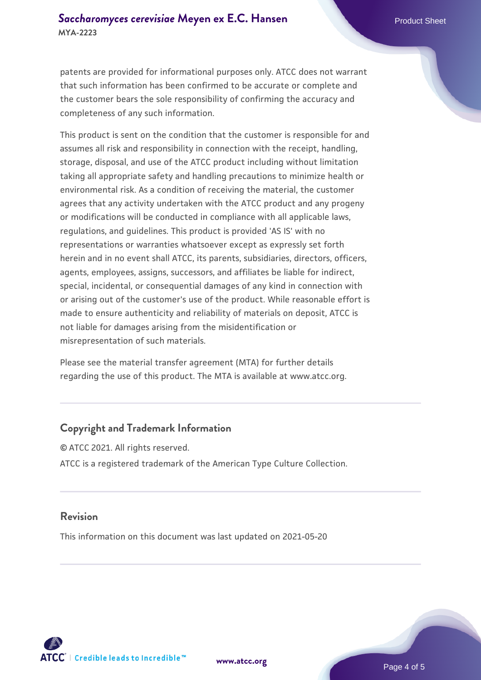patents are provided for informational purposes only. ATCC does not warrant that such information has been confirmed to be accurate or complete and the customer bears the sole responsibility of confirming the accuracy and completeness of any such information.

This product is sent on the condition that the customer is responsible for and assumes all risk and responsibility in connection with the receipt, handling, storage, disposal, and use of the ATCC product including without limitation taking all appropriate safety and handling precautions to minimize health or environmental risk. As a condition of receiving the material, the customer agrees that any activity undertaken with the ATCC product and any progeny or modifications will be conducted in compliance with all applicable laws, regulations, and guidelines. This product is provided 'AS IS' with no representations or warranties whatsoever except as expressly set forth herein and in no event shall ATCC, its parents, subsidiaries, directors, officers, agents, employees, assigns, successors, and affiliates be liable for indirect, special, incidental, or consequential damages of any kind in connection with or arising out of the customer's use of the product. While reasonable effort is made to ensure authenticity and reliability of materials on deposit, ATCC is not liable for damages arising from the misidentification or misrepresentation of such materials.

Please see the material transfer agreement (MTA) for further details regarding the use of this product. The MTA is available at www.atcc.org.

### **Copyright and Trademark Information**

© ATCC 2021. All rights reserved. ATCC is a registered trademark of the American Type Culture Collection.

### **Revision**

This information on this document was last updated on 2021-05-20



**[www.atcc.org](http://www.atcc.org)**